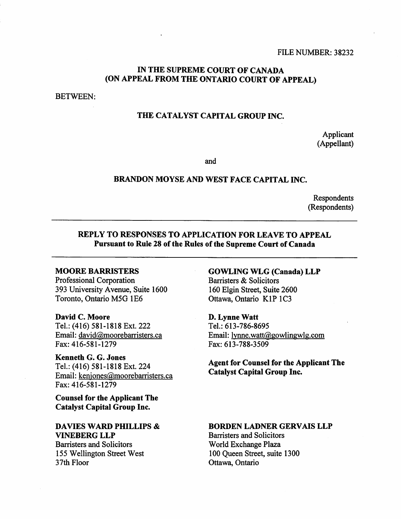## **IN THE SUPREME COURT OF CANADA (ON APPEAL FROM THE ONTARIO COURT OF APPEAL)**

BETWEEN:

## **THE CATALYST CAPITAL GROUP INC.**

Applicant (Appellant)

and

## **BRANDON MOYSE AND WEST FACE CAPITAL INC.**

Respondents (Respondents)

## **REPLY TO RESPONSES TO APPLICATION FOR LEAVE TO APPEAL Pursuant to Rule 28 of the Rules of the Supreme Court of Canada**

### **MOORE BARRISTERS**

Professional Corporation 393 University Avenue, Suite 1600 Toronto, Ontario M5G 1E6

**David C. Moore**  Tel.: (416) 581-1818 Ext. 222 Email: david@moorebarristers.ca Fax: 416-581-1279

**Kenneth G. G. Jones**  Tel.: (416) 581-1818 Ext. 224 Email: kenjones@moorebarristers.ca Fax: 416-581-1279

**Counsel for the Applicant The Catalyst Capital Group Inc.** 

## **DAVIES WARD PHILLIPS & VINEBERG LLP**

**Barristers and Solicitors** 155 Wellington Street West 37th Floor

**GOWLING WLG (Canada) LLP**  Barristers & Solicitors 160 Elgin Street, Suite 2600 Ottawa, Ontario K1P 1C3

**D. Lynne Watt**  Tel.: 613-786-8695 Email: lynne.watt@gowlingw1g.com Fax: 613-788-3509

**Agent for Counsel for the Applicant The Catalyst Capital Group Inc.** 

### **BORDEN LADNER GERVAIS LLP**

Barristers and Solicitors World Exchange Plaza 100 Queen Street, suite 1300 Ottawa, Ontario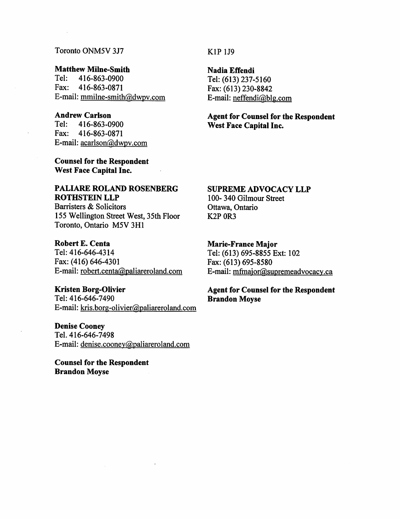## Toronto ONM5V 3J7

# **Matthew Milne-Smith** <br>Tel: 416-863-0900

Tel: 416-863-0900<br>Fax: 416-863-0871 Fax: 416-863-0871 E-mail: mmilne-smith@dwpv.com

# **Andrew Carlson**<br> **Tel:** 416-863-0

Tel: 416-863-0900 Fax: 416-863-0871 E-mail: acarlson@dwpv.com

**Counsel for the Respondent West Face Capital Inc.** 

## **PALIARE ROLAND ROSENBERG ROTHSTEIN LLP**

Barristers & Solicitors 155 Wellington Street West, 35th Floor Toronto, Ontario M5V 3H1

#### **Robert E. Centa**

Tel: 416-646-4314 Fax: (416) 646-4301 E-mail: robert.centa@paliareroland.com

#### **Kristen Borg-Olivier**

Tel: 416-646-7490 E-mail: kris.borg-olivier@paliareroland.com

**Denise Cooney**  Tel. 416-646-7498 E-mail: denise.cooney@paliareroland.com

**Counsel for the Respondent Brandon Moyse** 

### K<sub>1</sub>P<sub>1J9</sub>

**Nadia Effendi** 

Tel: (613) 237-5160 Fax: (613) 230-8842 E-mail: neffendi@b1g.com

**Agent for Counsel for the Respondent West Face Capital Inc.** 

### **SUPREME ADVOCACY LLP**

100- 340 Gilmour Street Ottawa, Ontario K2P 0R3

### **Marie-France Major**

Tel: (613) 695-8855 Ext: 102 Fax: (613) 695-8580 E-mail: mfmajor@supremeadvocacy.ca

# **Agent for Counsel for the Respondent Brandon Moyse**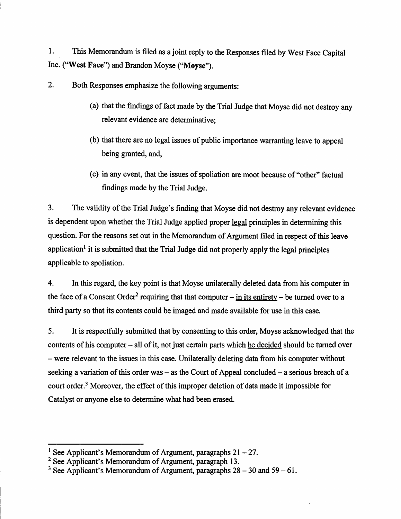**1. This Memorandum is filed as a joint reply to the Responses filed by West Face Capital Inc. ("West Face") and Brandon Moyse ("Moyse").** 

**2. Both Responses emphasize the following arguments:** 

- **(a) that the findings of fact made by the Trial Judge that Moyse did not destroy any relevant evidence are determinative;**
- **(b) that there are no legal issues of public importance warranting leave to appeal being granted, and,**
- **(c) in any event, that the issues of spoliation are moot because of "other" factual findings made by the Trial Judge.**

**3. The validity of the Trial Judge's finding that Moyse did not destroy any relevant evidence is dependent upon whether the Trial Judge applied proper legal principles in determining this question. For the reasons set out in the Memorandum of Argument filed in respect of this leave application' it is submitted that the Trial Judge did not properly apply the legal principles applicable to spoliation.** 

**4. In this regard, the key point is that Moyse unilaterally deleted data from his computer in**  the face of a Consent Order<sup>2</sup> requiring that that computer  $-$  in its entirety  $-$  be turned over to a **third party so that its contents could be imaged and made available for use in this case.** 

**5. It is respectfully submitted that by consenting to this order, Moyse acknowledged that the contents of his computer — all of it, not just certain parts which he decided should be turned over — were relevant to the issues in this case. Unilaterally deleting data from his computer without seeking a variation of this order was — as the Court of Appeal concluded — a serious breach of a**  court order.<sup>3</sup> Moreover, the effect of this improper deletion of data made it impossible for **Catalyst or anyone else to determine what had been erased.** 

<sup>&</sup>lt;sup>1</sup> See Applicant's Memorandum of Argument, paragraphs 21 – 27.

**<sup>2</sup>See Applicant's Memorandum of Argument, paragraph 13.** 

**<sup>3</sup>See Applicant's Memorandum of Argument, paragraphs 28 — 30 and 59 — 61.**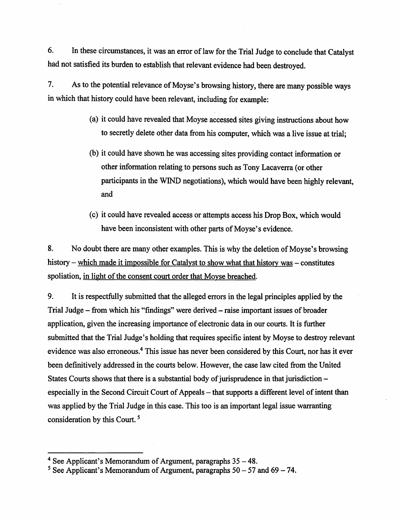6. In these circumstances, it was an error of law for the Trial Judge to conclude that Catalyst had not satisfied its burden to establish that relevant evidence had been destroyed.

7. As to the potential relevance of Moyse's browsing history, there are many possible ways in which that history could have been relevant, including for example:

- (a) it could have revealed that Moyse accessed sites giving instructions about how to secretly delete other data from his computer, which was a live issue at trial;
- (b) it could have shown he was accessing sites providing contact information or other information relating to persons such as Tony Lacaverra (or other participants in the WIND negotiations), which would have been highly relevant, and
- (c) it could have revealed access or attempts access his Drop Box, which would have been inconsistent with other parts of Moyse's evidence.

8. No doubt there are many other examples. This is why the deletion of Moyse's browsing history — which made it impossible for Catalyst to show what that history was — constitutes spoliation, in light of the consent court order that Moyse breached.

9. It is respectfully submitted that the alleged errors in the legal principles applied by the Trial Judge — from which his "findings" were derived — raise important issues of broader application, given the increasing importance of electronic data in our courts. It is further submitted that the Trial Judge's holding that requires specific intent by Moyse to destroy relevant evidence was also erroneous.<sup>4</sup> This issue has never been considered by this Court, nor has it ever been definitively addressed in the courts below. However, the case law cited from the United States Courts shows that there is a substantial body of jurisprudence in that jurisdiction especially in the Second Circuit Court of Appeals — that supports a different level of intent than was applied by the Trial Judge in this case. This too is an important legal issue warranting consideration by this Court. **<sup>5</sup>**

**<sup>4</sup>**See Applicant's Memorandum of Argument, paragraphs 35 — 48.

**<sup>5</sup>** See Applicant's Memorandum of Argument, paragraphs 50 — 57 and 69 — 74.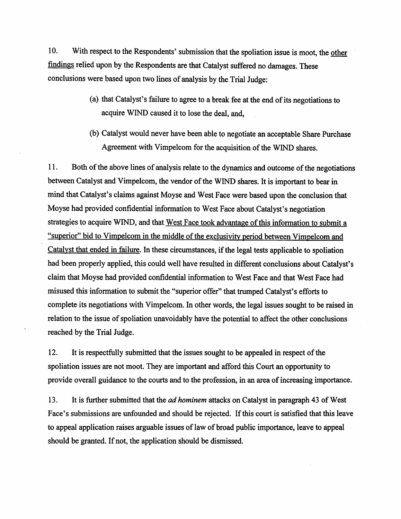10. With respect to the Respondents' submission that the spoliation issue is moot, the other findings relied upon by the Respondents are that Catalyst suffered no damages. These conclusions were based upon two lines of analysis by the Trial Judge:

- (a) that Catalyst's failure to agree to a break fee at the end of its negotiations to acquire WIND caused it to lose the deal, and,
- (b) Catalyst would never have been able to negotiate an acceptable Share Purchase Agreement with Vimpelcom for the acquisition of the WIND shares.

11. Both of the above lines of analysis relate to the dynamics and outcome of the negotiations between Catalyst and Vimpelcom, the vendor of the WIND shares. It is important to bear in mind that Catalyst's claims against Moyse and West Face were based upon the conclusion that Moyse had provided confidential information to West Face about Catalyst's negotiation strategies to acquire WIND, and that West Face took advantage of this information to submit a "superior" bid to Vimpelcom in the middle of the exclusivity period between Vimpelcom and Catalyst that ended in failure. In these circumstances, if the legal tests applicable to spoliation had been properly applied, this could well have resulted in different conclusions about Catalyst's claim that Moyse had provided confidential information to West Face and that West Face had misused this information to submit the "superior offer" that trumped Catalyst's efforts to complete its negotiations with Vimpelcom. In other words, the legal issues sought to be raised in relation to the issue of spoliation unavoidably have the potential to affect the other conclusions reached by the Trial Judge.

12. It is respectfully submitted that the issues sought to be appealed in respect of the spoliation issues are not moot. They are important and afford this Court an opportunity to provide overall guidance to the courts and to the profession, in an area of increasing importance.

13. It is further submitted that the *ad hominem* attacks on Catalyst in paragraph 43 of West Face's submissions are unfounded and should be rejected. If this court is satisfied that this leave to appeal application raises arguable issues of law of broad public importance, leave to appeal should be granted. If not, the application should be dismissed.